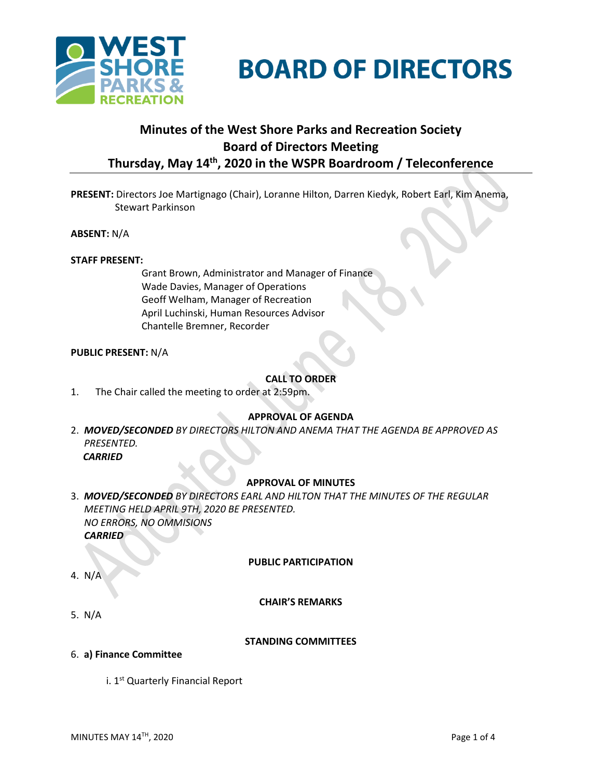

# **BOARD OF DIRECTORS**

# **Minutes of the West Shore Parks and Recreation Society Board of Directors Meeting Thursday, May 14th , 2020 in the WSPR Boardroom / Teleconference**

**PRESENT:** Directors Joe Martignago (Chair), Loranne Hilton, Darren Kiedyk, Robert Earl, Kim Anema, Stewart Parkinson

**ABSENT:** N/A

#### **STAFF PRESENT:**

Grant Brown, Administrator and Manager of Finance Wade Davies, Manager of Operations Geoff Welham, Manager of Recreation April Luchinski, Human Resources Advisor Chantelle Bremner, Recorder

#### **PUBLIC PRESENT:** N/A

# **CALL TO ORDER**

1. The Chair called the meeting to order at 2:59pm.

# **APPROVAL OF AGENDA**

2. *MOVED/SECONDED BY DIRECTORS HILTON AND ANEMA THAT THE AGENDA BE APPROVED AS PRESENTED. CARRIED*

# **APPROVAL OF MINUTES**

3. *MOVED/SECONDED BY DIRECTORS EARL AND HILTON THAT THE MINUTES OF THE REGULAR MEETING HELD APRIL 9TH, 2020 BE PRESENTED. NO ERRORS, NO OMMISIONS CARRIED*

#### **PUBLIC PARTICIPATION**

4. N/A

# **CHAIR'S REMARKS**

5. N/A

#### **STANDING COMMITTEES**

- 6. **a) Finance Committee**
	- i. 1<sup>st</sup> Quarterly Financial Report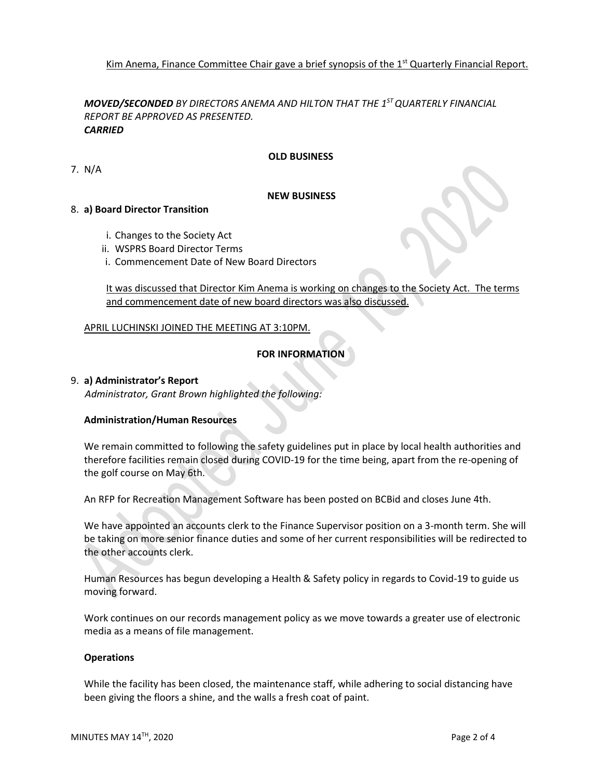Kim Anema, Finance Committee Chair gave a brief synopsis of the 1<sup>st</sup> Quarterly Financial Report.

*MOVED/SECONDED BY DIRECTORS ANEMA AND HILTON THAT THE 1 ST QUARTERLY FINANCIAL REPORT BE APPROVED AS PRESENTED. CARRIED*

# **OLD BUSINESS**

7. N/A

#### **NEW BUSINESS**

#### 8. **a) Board Director Transition**

- i. Changes to the Society Act
- ii. WSPRS Board Director Terms
- i. Commencement Date of New Board Directors

It was discussed that Director Kim Anema is working on changes to the Society Act. The terms and commencement date of new board directors was also discussed.

#### APRIL LUCHINSKI JOINED THE MEETING AT 3:10PM.

# **FOR INFORMATION**

#### 9. **a) Administrator's Report**

*Administrator, Grant Brown highlighted the following:*

# **Administration/Human Resources**

We remain committed to following the safety guidelines put in place by local health authorities and therefore facilities remain closed during COVID-19 for the time being, apart from the re-opening of the golf course on May 6th.

An RFP for Recreation Management Software has been posted on BCBid and closes June 4th.

We have appointed an accounts clerk to the Finance Supervisor position on a 3-month term. She will be taking on more senior finance duties and some of her current responsibilities will be redirected to the other accounts clerk.

Human Resources has begun developing a Health & Safety policy in regards to Covid-19 to guide us moving forward.

Work continues on our records management policy as we move towards a greater use of electronic media as a means of file management.

#### **Operations**

While the facility has been closed, the maintenance staff, while adhering to social distancing have been giving the floors a shine, and the walls a fresh coat of paint.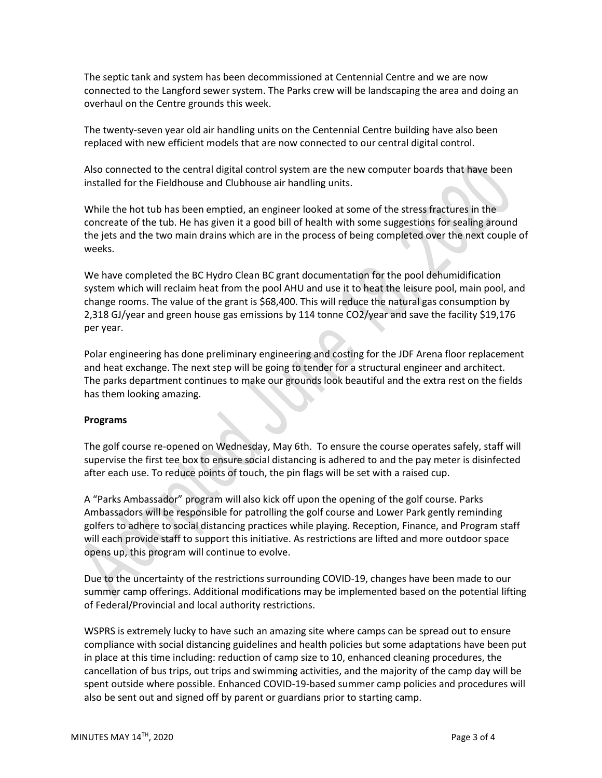The septic tank and system has been decommissioned at Centennial Centre and we are now connected to the Langford sewer system. The Parks crew will be landscaping the area and doing an overhaul on the Centre grounds this week.

The twenty-seven year old air handling units on the Centennial Centre building have also been replaced with new efficient models that are now connected to our central digital control.

Also connected to the central digital control system are the new computer boards that have been installed for the Fieldhouse and Clubhouse air handling units.

While the hot tub has been emptied, an engineer looked at some of the stress fractures in the concreate of the tub. He has given it a good bill of health with some suggestions for sealing around the jets and the two main drains which are in the process of being completed over the next couple of weeks.

We have completed the BC Hydro Clean BC grant documentation for the pool dehumidification system which will reclaim heat from the pool AHU and use it to heat the leisure pool, main pool, and change rooms. The value of the grant is \$68,400. This will reduce the natural gas consumption by 2,318 GJ/year and green house gas emissions by 114 tonne CO2/year and save the facility \$19,176 per year.

Polar engineering has done preliminary engineering and costing for the JDF Arena floor replacement and heat exchange. The next step will be going to tender for a structural engineer and architect. The parks department continues to make our grounds look beautiful and the extra rest on the fields has them looking amazing.

# **Programs**

The golf course re-opened on Wednesday, May 6th. To ensure the course operates safely, staff will supervise the first tee box to ensure social distancing is adhered to and the pay meter is disinfected after each use. To reduce points of touch, the pin flags will be set with a raised cup.

A "Parks Ambassador" program will also kick off upon the opening of the golf course. Parks Ambassadors will be responsible for patrolling the golf course and Lower Park gently reminding golfers to adhere to social distancing practices while playing. Reception, Finance, and Program staff will each provide staff to support this initiative. As restrictions are lifted and more outdoor space opens up, this program will continue to evolve.

Due to the uncertainty of the restrictions surrounding COVID-19, changes have been made to our summer camp offerings. Additional modifications may be implemented based on the potential lifting of Federal/Provincial and local authority restrictions.

WSPRS is extremely lucky to have such an amazing site where camps can be spread out to ensure compliance with social distancing guidelines and health policies but some adaptations have been put in place at this time including: reduction of camp size to 10, enhanced cleaning procedures, the cancellation of bus trips, out trips and swimming activities, and the majority of the camp day will be spent outside where possible. Enhanced COVID-19-based summer camp policies and procedures will also be sent out and signed off by parent or guardians prior to starting camp.